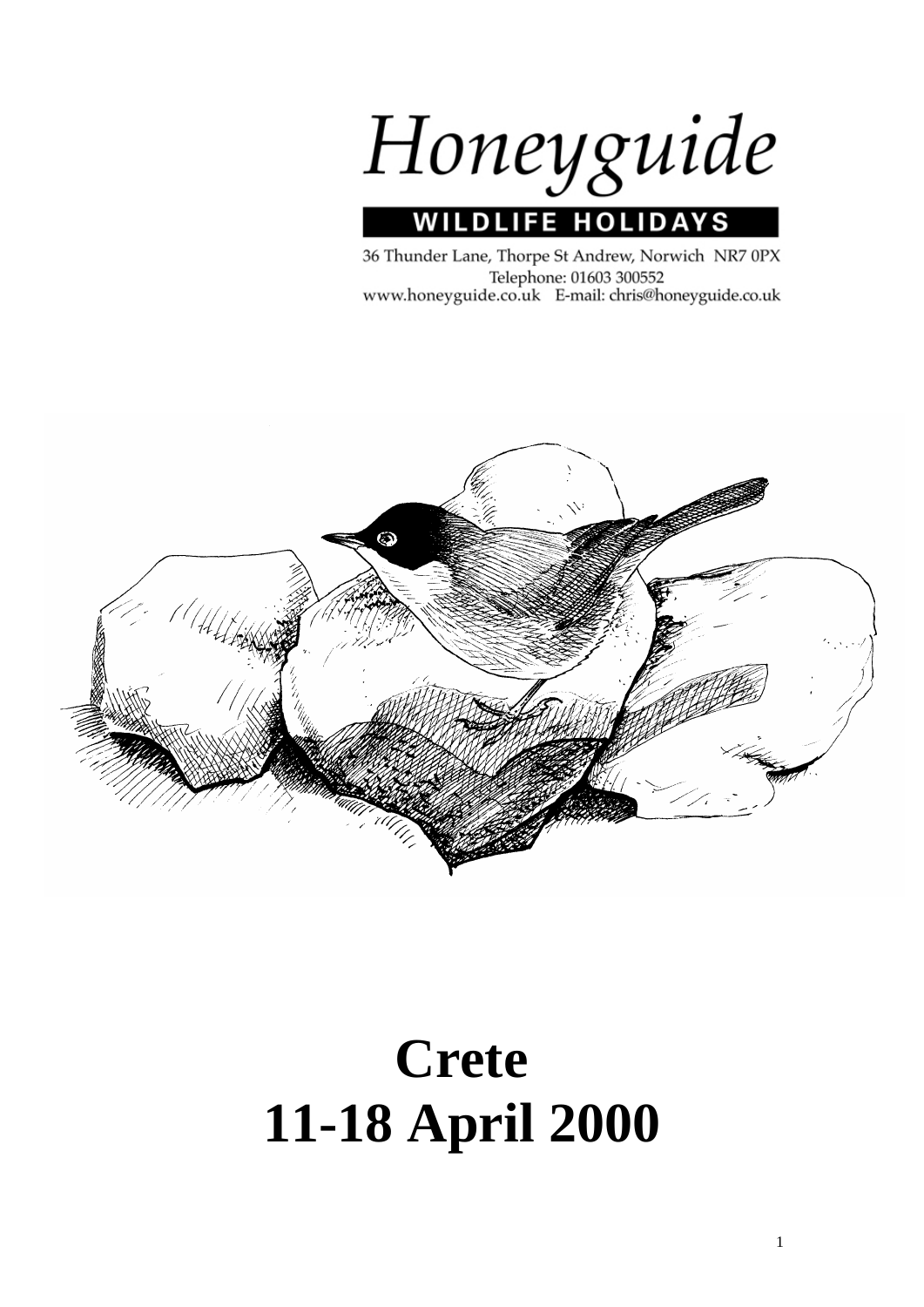

36 Thunder Lane, Thorpe St Andrew, Norwich NR7 0PX Telephone: 01603 300552 www.honeyguide.co.uk E-mail: chris@honeyguide.co.uk



# **Crete 11-18 April 2000**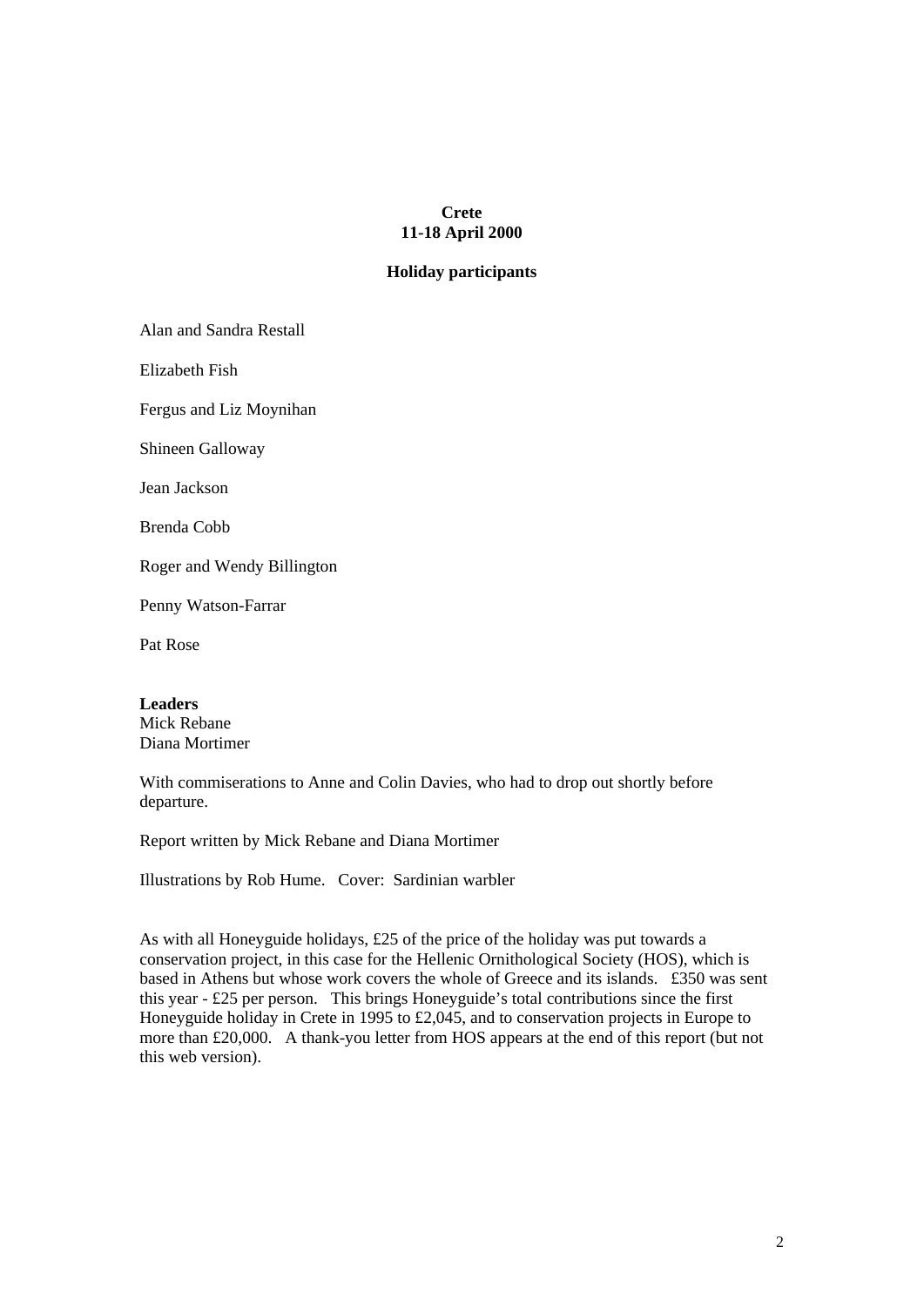# **Crete 11-18 April 2000**

# **Holiday participants**

Alan and Sandra Restall

Elizabeth Fish

Fergus and Liz Moynihan

Shineen Galloway

Jean Jackson

Brenda Cobb

Roger and Wendy Billington

Penny Watson-Farrar

Pat Rose

**Leaders** 

Mick Rebane Diana Mortimer

With commiserations to Anne and Colin Davies, who had to drop out shortly before departure.

Report written by Mick Rebane and Diana Mortimer

Illustrations by Rob Hume. Cover: Sardinian warbler

As with all Honeyguide holidays, £25 of the price of the holiday was put towards a conservation project, in this case for the Hellenic Ornithological Society (HOS), which is based in Athens but whose work covers the whole of Greece and its islands. £350 was sent this year - £25 per person. This brings Honeyguide's total contributions since the first Honeyguide holiday in Crete in 1995 to £2,045, and to conservation projects in Europe to more than £20,000. A thank-you letter from HOS appears at the end of this report (but not this web version).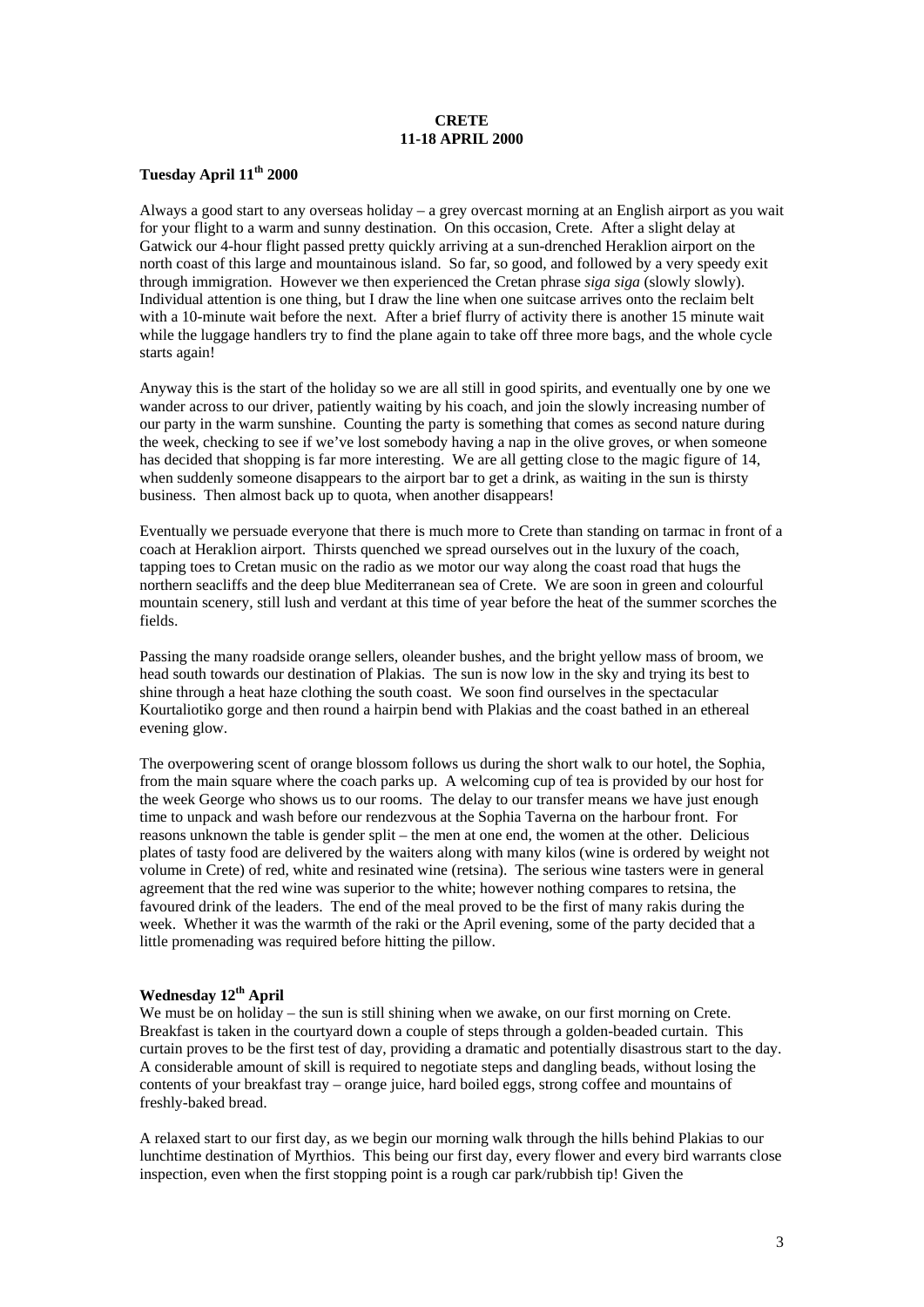## **CRETE 11-18 APRIL 2000**

# **Tuesday April 11th 2000**

Always a good start to any overseas holiday – a grey overcast morning at an English airport as you wait for your flight to a warm and sunny destination. On this occasion, Crete. After a slight delay at Gatwick our 4-hour flight passed pretty quickly arriving at a sun-drenched Heraklion airport on the north coast of this large and mountainous island. So far, so good, and followed by a very speedy exit through immigration. However we then experienced the Cretan phrase *siga siga* (slowly slowly). Individual attention is one thing, but I draw the line when one suitcase arrives onto the reclaim belt with a 10-minute wait before the next. After a brief flurry of activity there is another 15 minute wait while the luggage handlers try to find the plane again to take off three more bags, and the whole cycle starts again!

Anyway this is the start of the holiday so we are all still in good spirits, and eventually one by one we wander across to our driver, patiently waiting by his coach, and join the slowly increasing number of our party in the warm sunshine. Counting the party is something that comes as second nature during the week, checking to see if we've lost somebody having a nap in the olive groves, or when someone has decided that shopping is far more interesting. We are all getting close to the magic figure of 14, when suddenly someone disappears to the airport bar to get a drink, as waiting in the sun is thirsty business. Then almost back up to quota, when another disappears!

Eventually we persuade everyone that there is much more to Crete than standing on tarmac in front of a coach at Heraklion airport. Thirsts quenched we spread ourselves out in the luxury of the coach, tapping toes to Cretan music on the radio as we motor our way along the coast road that hugs the northern seacliffs and the deep blue Mediterranean sea of Crete. We are soon in green and colourful mountain scenery, still lush and verdant at this time of year before the heat of the summer scorches the fields.

Passing the many roadside orange sellers, oleander bushes, and the bright yellow mass of broom, we head south towards our destination of Plakias. The sun is now low in the sky and trying its best to shine through a heat haze clothing the south coast. We soon find ourselves in the spectacular Kourtaliotiko gorge and then round a hairpin bend with Plakias and the coast bathed in an ethereal evening glow.

The overpowering scent of orange blossom follows us during the short walk to our hotel, the Sophia, from the main square where the coach parks up. A welcoming cup of tea is provided by our host for the week George who shows us to our rooms. The delay to our transfer means we have just enough time to unpack and wash before our rendezvous at the Sophia Taverna on the harbour front. For reasons unknown the table is gender split – the men at one end, the women at the other. Delicious plates of tasty food are delivered by the waiters along with many kilos (wine is ordered by weight not volume in Crete) of red, white and resinated wine (retsina). The serious wine tasters were in general agreement that the red wine was superior to the white; however nothing compares to retsina, the favoured drink of the leaders. The end of the meal proved to be the first of many rakis during the week. Whether it was the warmth of the raki or the April evening, some of the party decided that a little promenading was required before hitting the pillow.

# **Wednesday 12th April**

We must be on holiday – the sun is still shining when we awake, on our first morning on Crete. Breakfast is taken in the courtyard down a couple of steps through a golden-beaded curtain. This curtain proves to be the first test of day, providing a dramatic and potentially disastrous start to the day. A considerable amount of skill is required to negotiate steps and dangling beads, without losing the contents of your breakfast tray – orange juice, hard boiled eggs, strong coffee and mountains of freshly-baked bread.

A relaxed start to our first day, as we begin our morning walk through the hills behind Plakias to our lunchtime destination of Myrthios. This being our first day, every flower and every bird warrants close inspection, even when the first stopping point is a rough car park/rubbish tip! Given the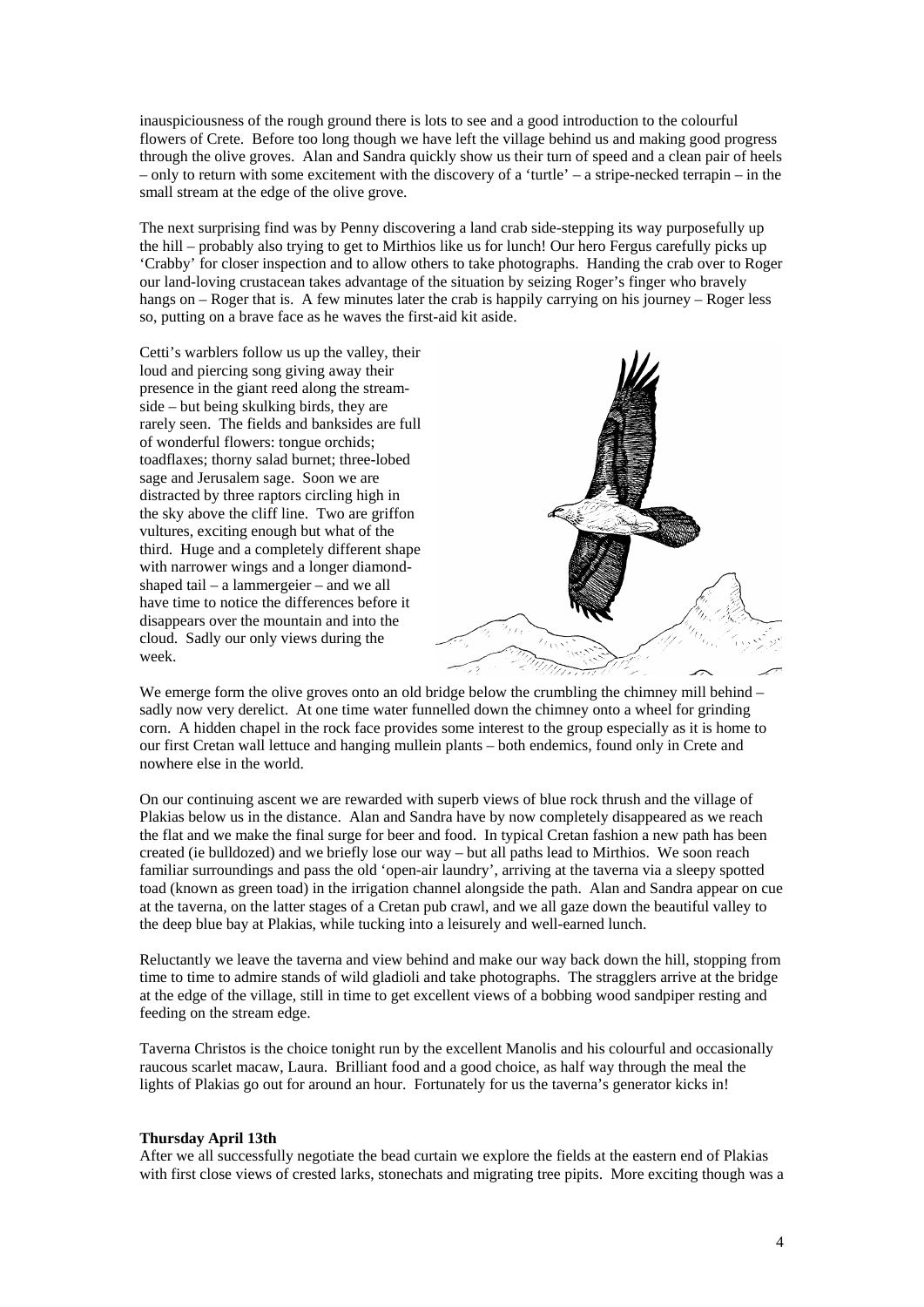inauspiciousness of the rough ground there is lots to see and a good introduction to the colourful flowers of Crete. Before too long though we have left the village behind us and making good progress through the olive groves. Alan and Sandra quickly show us their turn of speed and a clean pair of heels – only to return with some excitement with the discovery of a 'turtle' – a stripe-necked terrapin – in the small stream at the edge of the olive grove.

The next surprising find was by Penny discovering a land crab side-stepping its way purposefully up the hill – probably also trying to get to Mirthios like us for lunch! Our hero Fergus carefully picks up 'Crabby' for closer inspection and to allow others to take photographs. Handing the crab over to Roger our land-loving crustacean takes advantage of the situation by seizing Roger's finger who bravely hangs on – Roger that is. A few minutes later the crab is happily carrying on his journey – Roger less so, putting on a brave face as he waves the first-aid kit aside.

Cetti's warblers follow us up the valley, their loud and piercing song giving away their presence in the giant reed along the streamside – but being skulking birds, they are rarely seen. The fields and banksides are full of wonderful flowers: tongue orchids; toadflaxes; thorny salad burnet; three-lobed sage and Jerusalem sage. Soon we are distracted by three raptors circling high in the sky above the cliff line. Two are griffon vultures, exciting enough but what of the third. Huge and a completely different shape with narrower wings and a longer diamondshaped tail – a lammergeier – and we all have time to notice the differences before it disappears over the mountain and into the cloud. Sadly our only views during the week.



We emerge form the olive groves onto an old bridge below the crumbling the chimney mill behind – sadly now very derelict. At one time water funnelled down the chimney onto a wheel for grinding corn. A hidden chapel in the rock face provides some interest to the group especially as it is home to our first Cretan wall lettuce and hanging mullein plants – both endemics, found only in Crete and nowhere else in the world.

On our continuing ascent we are rewarded with superb views of blue rock thrush and the village of Plakias below us in the distance. Alan and Sandra have by now completely disappeared as we reach the flat and we make the final surge for beer and food. In typical Cretan fashion a new path has been created (ie bulldozed) and we briefly lose our way – but all paths lead to Mirthios. We soon reach familiar surroundings and pass the old 'open-air laundry', arriving at the taverna via a sleepy spotted toad (known as green toad) in the irrigation channel alongside the path. Alan and Sandra appear on cue at the taverna, on the latter stages of a Cretan pub crawl, and we all gaze down the beautiful valley to the deep blue bay at Plakias, while tucking into a leisurely and well-earned lunch.

Reluctantly we leave the taverna and view behind and make our way back down the hill, stopping from time to time to admire stands of wild gladioli and take photographs. The stragglers arrive at the bridge at the edge of the village, still in time to get excellent views of a bobbing wood sandpiper resting and feeding on the stream edge.

Taverna Christos is the choice tonight run by the excellent Manolis and his colourful and occasionally raucous scarlet macaw, Laura. Brilliant food and a good choice, as half way through the meal the lights of Plakias go out for around an hour. Fortunately for us the taverna's generator kicks in!

#### **Thursday April 13th**

After we all successfully negotiate the bead curtain we explore the fields at the eastern end of Plakias with first close views of crested larks, stonechats and migrating tree pipits. More exciting though was a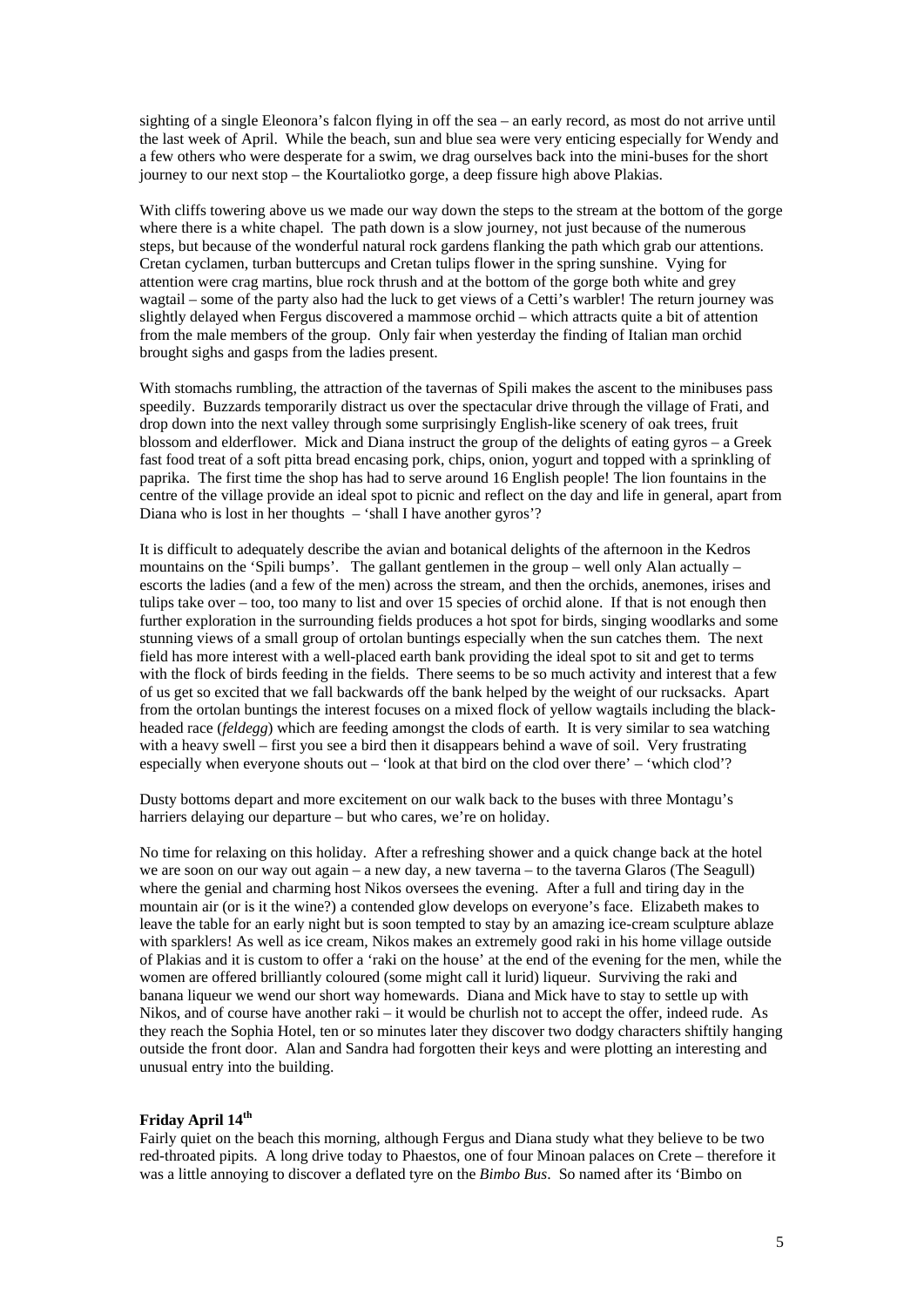sighting of a single Eleonora's falcon flying in off the sea – an early record, as most do not arrive until the last week of April. While the beach, sun and blue sea were very enticing especially for Wendy and a few others who were desperate for a swim, we drag ourselves back into the mini-buses for the short journey to our next stop – the Kourtaliotko gorge, a deep fissure high above Plakias.

With cliffs towering above us we made our way down the steps to the stream at the bottom of the gorge where there is a white chapel. The path down is a slow journey, not just because of the numerous steps, but because of the wonderful natural rock gardens flanking the path which grab our attentions. Cretan cyclamen, turban buttercups and Cretan tulips flower in the spring sunshine. Vying for attention were crag martins, blue rock thrush and at the bottom of the gorge both white and grey wagtail – some of the party also had the luck to get views of a Cetti's warbler! The return journey was slightly delayed when Fergus discovered a mammose orchid – which attracts quite a bit of attention from the male members of the group. Only fair when yesterday the finding of Italian man orchid brought sighs and gasps from the ladies present.

With stomachs rumbling, the attraction of the tavernas of Spili makes the ascent to the minibuses pass speedily. Buzzards temporarily distract us over the spectacular drive through the village of Frati, and drop down into the next valley through some surprisingly English-like scenery of oak trees, fruit blossom and elderflower. Mick and Diana instruct the group of the delights of eating gyros – a Greek fast food treat of a soft pitta bread encasing pork, chips, onion, yogurt and topped with a sprinkling of paprika. The first time the shop has had to serve around 16 English people! The lion fountains in the centre of the village provide an ideal spot to picnic and reflect on the day and life in general, apart from Diana who is lost in her thoughts – 'shall I have another gyros'?

It is difficult to adequately describe the avian and botanical delights of the afternoon in the Kedros mountains on the 'Spili bumps'. The gallant gentlemen in the group – well only Alan actually – escorts the ladies (and a few of the men) across the stream, and then the orchids, anemones, irises and tulips take over – too, too many to list and over 15 species of orchid alone. If that is not enough then further exploration in the surrounding fields produces a hot spot for birds, singing woodlarks and some stunning views of a small group of ortolan buntings especially when the sun catches them. The next field has more interest with a well-placed earth bank providing the ideal spot to sit and get to terms with the flock of birds feeding in the fields. There seems to be so much activity and interest that a few of us get so excited that we fall backwards off the bank helped by the weight of our rucksacks. Apart from the ortolan buntings the interest focuses on a mixed flock of yellow wagtails including the blackheaded race (*feldegg*) which are feeding amongst the clods of earth. It is very similar to sea watching with a heavy swell – first you see a bird then it disappears behind a wave of soil. Very frustrating especially when everyone shouts out – 'look at that bird on the clod over there' – 'which clod'?

Dusty bottoms depart and more excitement on our walk back to the buses with three Montagu's harriers delaying our departure – but who cares, we're on holiday.

No time for relaxing on this holiday. After a refreshing shower and a quick change back at the hotel we are soon on our way out again – a new day, a new taverna – to the taverna Glaros (The Seagull) where the genial and charming host Nikos oversees the evening. After a full and tiring day in the mountain air (or is it the wine?) a contended glow develops on everyone's face. Elizabeth makes to leave the table for an early night but is soon tempted to stay by an amazing ice-cream sculpture ablaze with sparklers! As well as ice cream, Nikos makes an extremely good raki in his home village outside of Plakias and it is custom to offer a 'raki on the house' at the end of the evening for the men, while the women are offered brilliantly coloured (some might call it lurid) liqueur. Surviving the raki and banana liqueur we wend our short way homewards. Diana and Mick have to stay to settle up with Nikos, and of course have another raki – it would be churlish not to accept the offer, indeed rude. As they reach the Sophia Hotel, ten or so minutes later they discover two dodgy characters shiftily hanging outside the front door. Alan and Sandra had forgotten their keys and were plotting an interesting and unusual entry into the building.

## **Friday April 14th**

Fairly quiet on the beach this morning, although Fergus and Diana study what they believe to be two red-throated pipits. A long drive today to Phaestos, one of four Minoan palaces on Crete – therefore it was a little annoying to discover a deflated tyre on the *Bimbo Bus*. So named after its 'Bimbo on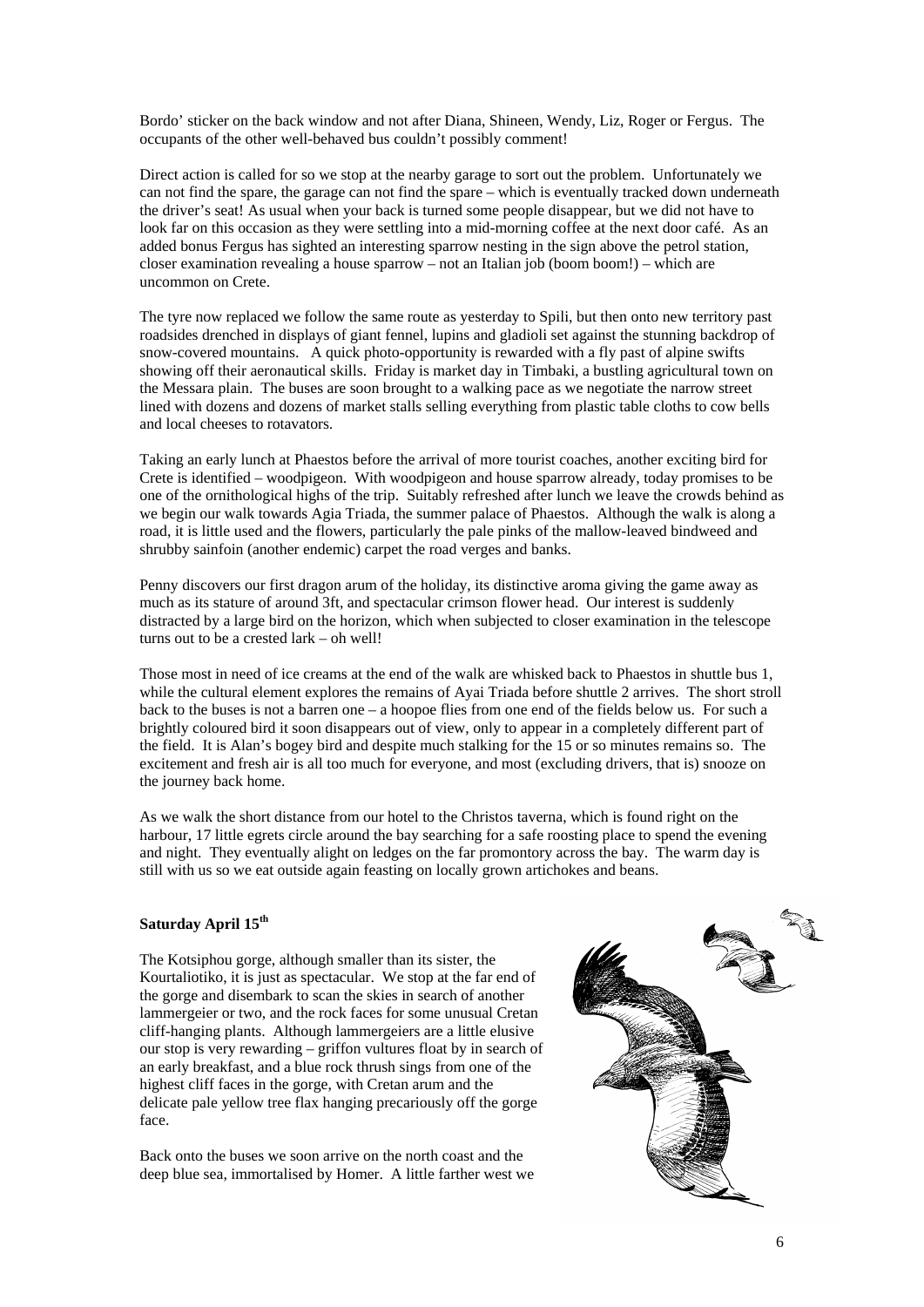Bordo' sticker on the back window and not after Diana, Shineen, Wendy, Liz, Roger or Fergus. The occupants of the other well-behaved bus couldn't possibly comment!

Direct action is called for so we stop at the nearby garage to sort out the problem. Unfortunately we can not find the spare, the garage can not find the spare – which is eventually tracked down underneath the driver's seat! As usual when your back is turned some people disappear, but we did not have to look far on this occasion as they were settling into a mid-morning coffee at the next door café. As an added bonus Fergus has sighted an interesting sparrow nesting in the sign above the petrol station, closer examination revealing a house sparrow – not an Italian job (boom boom!) – which are uncommon on Crete.

The tyre now replaced we follow the same route as yesterday to Spili, but then onto new territory past roadsides drenched in displays of giant fennel, lupins and gladioli set against the stunning backdrop of snow-covered mountains. A quick photo-opportunity is rewarded with a fly past of alpine swifts showing off their aeronautical skills. Friday is market day in Timbaki, a bustling agricultural town on the Messara plain. The buses are soon brought to a walking pace as we negotiate the narrow street lined with dozens and dozens of market stalls selling everything from plastic table cloths to cow bells and local cheeses to rotavators.

Taking an early lunch at Phaestos before the arrival of more tourist coaches, another exciting bird for Crete is identified – woodpigeon. With woodpigeon and house sparrow already, today promises to be one of the ornithological highs of the trip. Suitably refreshed after lunch we leave the crowds behind as we begin our walk towards Agia Triada, the summer palace of Phaestos. Although the walk is along a road, it is little used and the flowers, particularly the pale pinks of the mallow-leaved bindweed and shrubby sainfoin (another endemic) carpet the road verges and banks.

Penny discovers our first dragon arum of the holiday, its distinctive aroma giving the game away as much as its stature of around 3ft, and spectacular crimson flower head. Our interest is suddenly distracted by a large bird on the horizon, which when subjected to closer examination in the telescope turns out to be a crested lark – oh well!

Those most in need of ice creams at the end of the walk are whisked back to Phaestos in shuttle bus 1, while the cultural element explores the remains of Ayai Triada before shuttle 2 arrives. The short stroll back to the buses is not a barren one – a hoopoe flies from one end of the fields below us. For such a brightly coloured bird it soon disappears out of view, only to appear in a completely different part of the field. It is Alan's bogey bird and despite much stalking for the 15 or so minutes remains so. The excitement and fresh air is all too much for everyone, and most (excluding drivers, that is) snooze on the journey back home.

As we walk the short distance from our hotel to the Christos taverna, which is found right on the harbour, 17 little egrets circle around the bay searching for a safe roosting place to spend the evening and night. They eventually alight on ledges on the far promontory across the bay. The warm day is still with us so we eat outside again feasting on locally grown artichokes and beans.

## **Saturday April 15th**

The Kotsiphou gorge, although smaller than its sister, the Kourtaliotiko, it is just as spectacular. We stop at the far end of the gorge and disembark to scan the skies in search of another lammergeier or two, and the rock faces for some unusual Cretan cliff-hanging plants. Although lammergeiers are a little elusive our stop is very rewarding – griffon vultures float by in search of an early breakfast, and a blue rock thrush sings from one of the highest cliff faces in the gorge, with Cretan arum and the delicate pale yellow tree flax hanging precariously off the gorge face.

Back onto the buses we soon arrive on the north coast and the deep blue sea, immortalised by Homer. A little farther west we

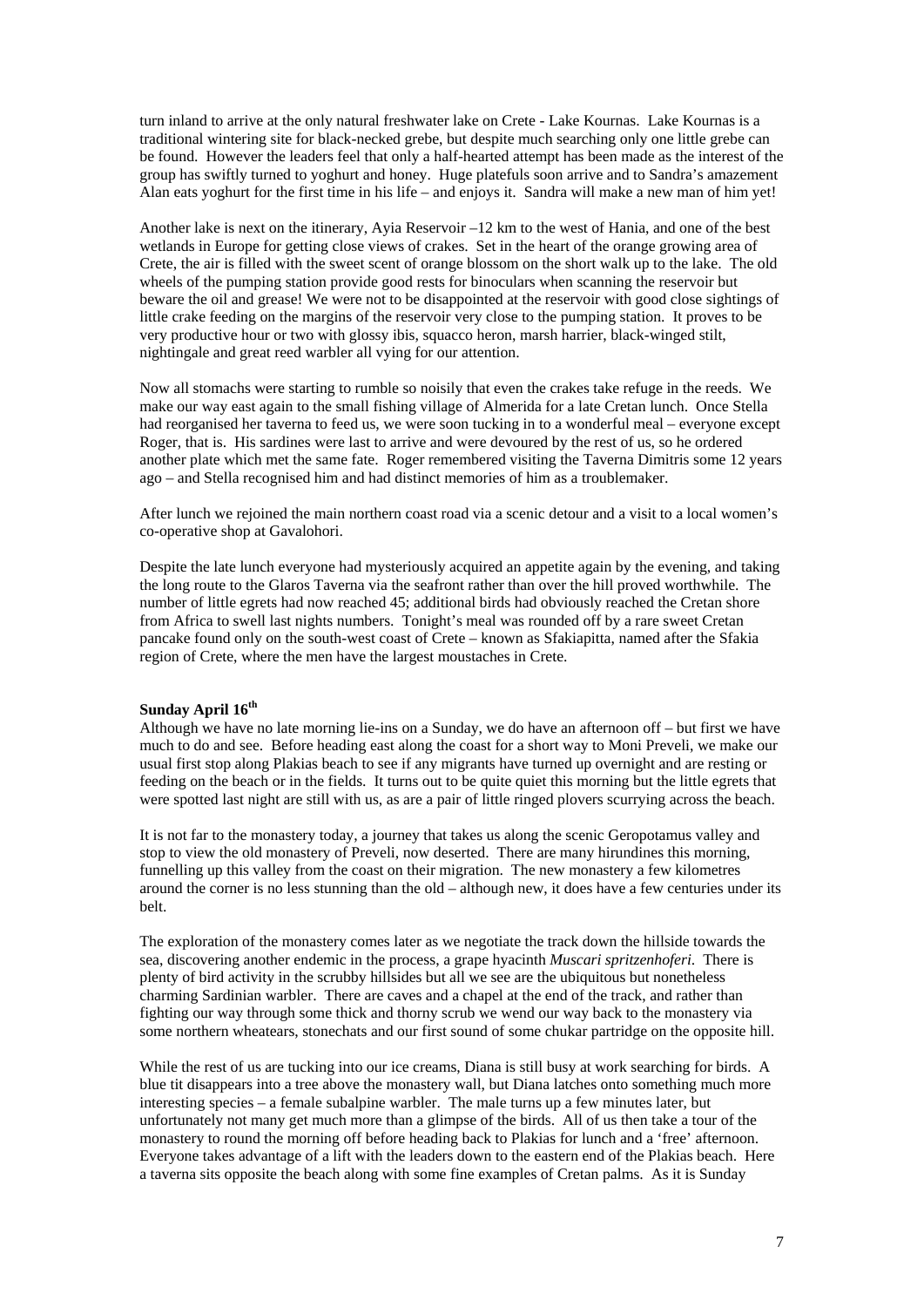turn inland to arrive at the only natural freshwater lake on Crete - Lake Kournas. Lake Kournas is a traditional wintering site for black-necked grebe, but despite much searching only one little grebe can be found. However the leaders feel that only a half-hearted attempt has been made as the interest of the group has swiftly turned to yoghurt and honey. Huge platefuls soon arrive and to Sandra's amazement Alan eats yoghurt for the first time in his life – and enjoys it. Sandra will make a new man of him yet!

Another lake is next on the itinerary, Ayia Reservoir –12 km to the west of Hania, and one of the best wetlands in Europe for getting close views of crakes. Set in the heart of the orange growing area of Crete, the air is filled with the sweet scent of orange blossom on the short walk up to the lake. The old wheels of the pumping station provide good rests for binoculars when scanning the reservoir but beware the oil and grease! We were not to be disappointed at the reservoir with good close sightings of little crake feeding on the margins of the reservoir very close to the pumping station. It proves to be very productive hour or two with glossy ibis, squacco heron, marsh harrier, black-winged stilt, nightingale and great reed warbler all vying for our attention.

Now all stomachs were starting to rumble so noisily that even the crakes take refuge in the reeds. We make our way east again to the small fishing village of Almerida for a late Cretan lunch. Once Stella had reorganised her taverna to feed us, we were soon tucking in to a wonderful meal – everyone except Roger, that is. His sardines were last to arrive and were devoured by the rest of us, so he ordered another plate which met the same fate. Roger remembered visiting the Taverna Dimitris some 12 years ago – and Stella recognised him and had distinct memories of him as a troublemaker.

After lunch we rejoined the main northern coast road via a scenic detour and a visit to a local women's co-operative shop at Gavalohori.

Despite the late lunch everyone had mysteriously acquired an appetite again by the evening, and taking the long route to the Glaros Taverna via the seafront rather than over the hill proved worthwhile. The number of little egrets had now reached 45; additional birds had obviously reached the Cretan shore from Africa to swell last nights numbers. Tonight's meal was rounded off by a rare sweet Cretan pancake found only on the south-west coast of Crete – known as Sfakiapitta, named after the Sfakia region of Crete, where the men have the largest moustaches in Crete.

## **Sunday April 16th**

Although we have no late morning lie-ins on a Sunday, we do have an afternoon off – but first we have much to do and see. Before heading east along the coast for a short way to Moni Preveli, we make our usual first stop along Plakias beach to see if any migrants have turned up overnight and are resting or feeding on the beach or in the fields. It turns out to be quite quiet this morning but the little egrets that were spotted last night are still with us, as are a pair of little ringed plovers scurrying across the beach.

It is not far to the monastery today, a journey that takes us along the scenic Geropotamus valley and stop to view the old monastery of Preveli, now deserted. There are many hirundines this morning, funnelling up this valley from the coast on their migration. The new monastery a few kilometres around the corner is no less stunning than the old – although new, it does have a few centuries under its belt.

The exploration of the monastery comes later as we negotiate the track down the hillside towards the sea, discovering another endemic in the process, a grape hyacinth *Muscari spritzenhoferi*. There is plenty of bird activity in the scrubby hillsides but all we see are the ubiquitous but nonetheless charming Sardinian warbler. There are caves and a chapel at the end of the track, and rather than fighting our way through some thick and thorny scrub we wend our way back to the monastery via some northern wheatears, stonechats and our first sound of some chukar partridge on the opposite hill.

While the rest of us are tucking into our ice creams, Diana is still busy at work searching for birds. A blue tit disappears into a tree above the monastery wall, but Diana latches onto something much more interesting species – a female subalpine warbler. The male turns up a few minutes later, but unfortunately not many get much more than a glimpse of the birds. All of us then take a tour of the monastery to round the morning off before heading back to Plakias for lunch and a 'free' afternoon. Everyone takes advantage of a lift with the leaders down to the eastern end of the Plakias beach. Here a taverna sits opposite the beach along with some fine examples of Cretan palms. As it is Sunday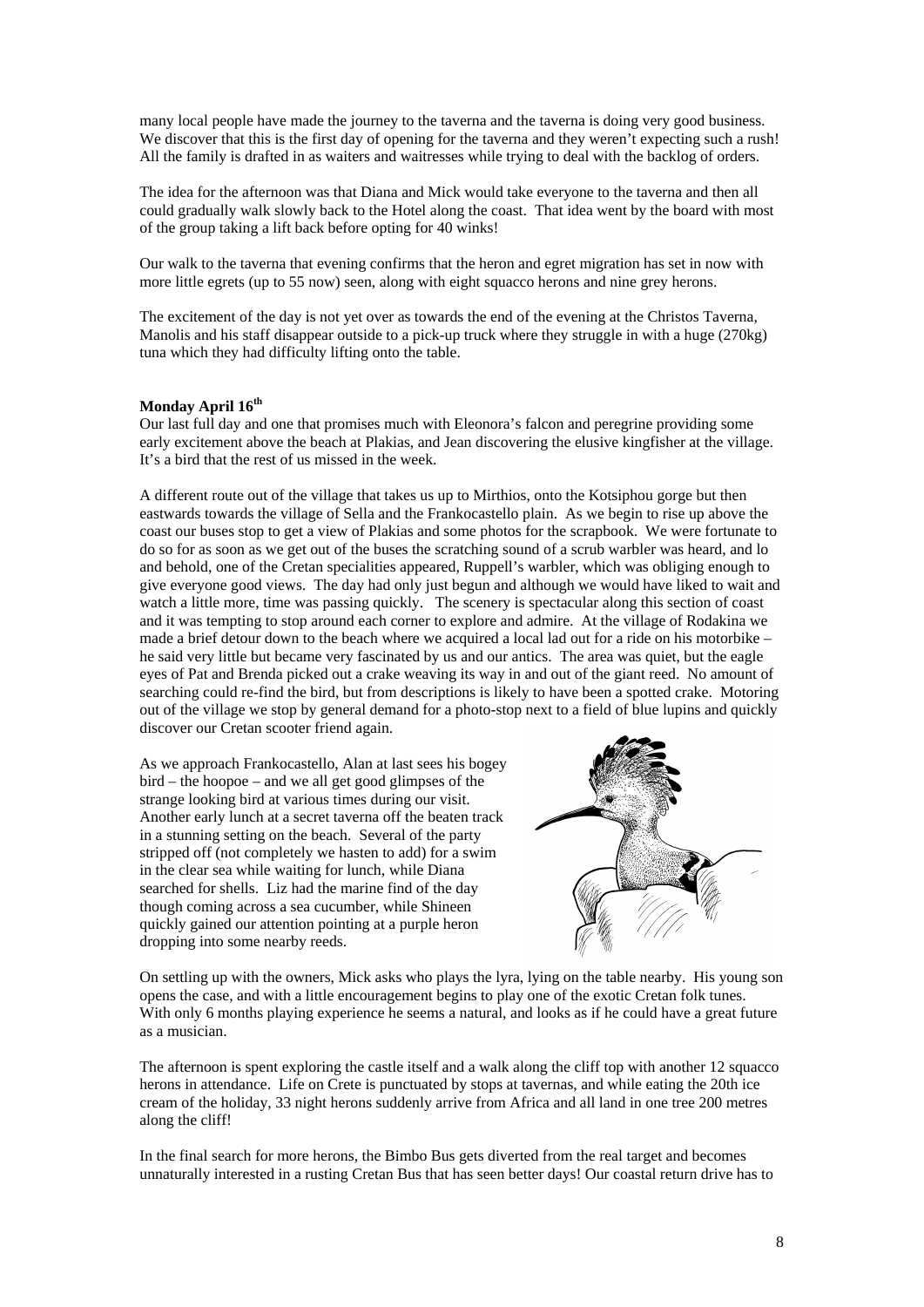many local people have made the journey to the taverna and the taverna is doing very good business. We discover that this is the first day of opening for the taverna and they weren't expecting such a rush! All the family is drafted in as waiters and waitresses while trying to deal with the backlog of orders.

The idea for the afternoon was that Diana and Mick would take everyone to the taverna and then all could gradually walk slowly back to the Hotel along the coast. That idea went by the board with most of the group taking a lift back before opting for 40 winks!

Our walk to the taverna that evening confirms that the heron and egret migration has set in now with more little egrets (up to 55 now) seen, along with eight squacco herons and nine grey herons.

The excitement of the day is not yet over as towards the end of the evening at the Christos Taverna, Manolis and his staff disappear outside to a pick-up truck where they struggle in with a huge (270kg) tuna which they had difficulty lifting onto the table.

## **Monday April 16th**

Our last full day and one that promises much with Eleonora's falcon and peregrine providing some early excitement above the beach at Plakias, and Jean discovering the elusive kingfisher at the village. It's a bird that the rest of us missed in the week.

A different route out of the village that takes us up to Mirthios, onto the Kotsiphou gorge but then eastwards towards the village of Sella and the Frankocastello plain. As we begin to rise up above the coast our buses stop to get a view of Plakias and some photos for the scrapbook. We were fortunate to do so for as soon as we get out of the buses the scratching sound of a scrub warbler was heard, and lo and behold, one of the Cretan specialities appeared, Ruppell's warbler, which was obliging enough to give everyone good views. The day had only just begun and although we would have liked to wait and watch a little more, time was passing quickly. The scenery is spectacular along this section of coast and it was tempting to stop around each corner to explore and admire. At the village of Rodakina we made a brief detour down to the beach where we acquired a local lad out for a ride on his motorbike – he said very little but became very fascinated by us and our antics. The area was quiet, but the eagle eyes of Pat and Brenda picked out a crake weaving its way in and out of the giant reed. No amount of searching could re-find the bird, but from descriptions is likely to have been a spotted crake. Motoring out of the village we stop by general demand for a photo-stop next to a field of blue lupins and quickly discover our Cretan scooter friend again.

As we approach Frankocastello, Alan at last sees his bogey bird – the hoopoe – and we all get good glimpses of the strange looking bird at various times during our visit. Another early lunch at a secret taverna off the beaten track in a stunning setting on the beach. Several of the party stripped off (not completely we hasten to add) for a swim in the clear sea while waiting for lunch, while Diana searched for shells. Liz had the marine find of the day though coming across a sea cucumber, while Shineen quickly gained our attention pointing at a purple heron dropping into some nearby reeds.



On settling up with the owners, Mick asks who plays the lyra, lying on the table nearby. His young son opens the case, and with a little encouragement begins to play one of the exotic Cretan folk tunes. With only 6 months playing experience he seems a natural, and looks as if he could have a great future as a musician.

The afternoon is spent exploring the castle itself and a walk along the cliff top with another 12 squacco herons in attendance. Life on Crete is punctuated by stops at tavernas, and while eating the 20th ice cream of the holiday, 33 night herons suddenly arrive from Africa and all land in one tree 200 metres along the cliff!

In the final search for more herons, the Bimbo Bus gets diverted from the real target and becomes unnaturally interested in a rusting Cretan Bus that has seen better days! Our coastal return drive has to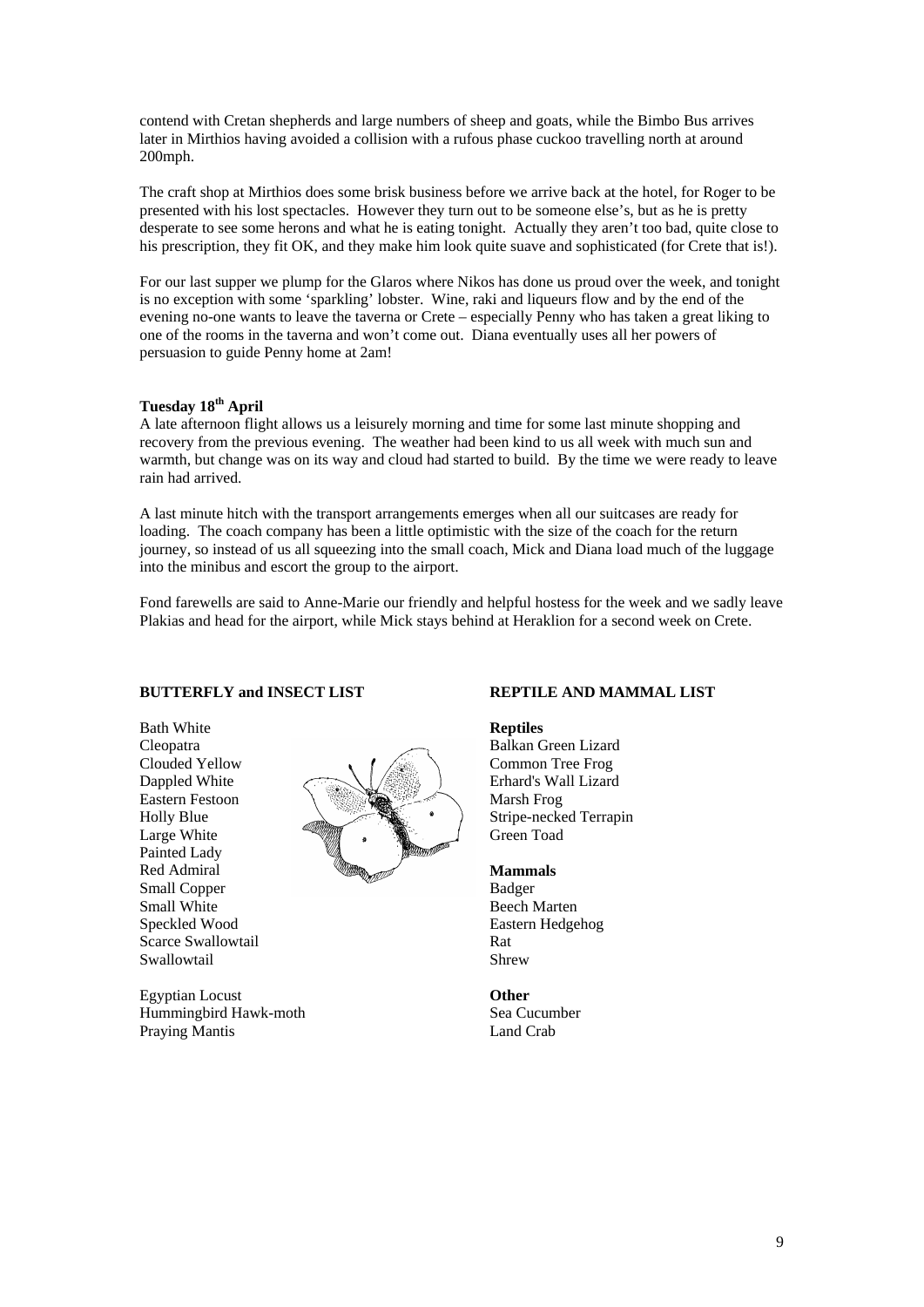contend with Cretan shepherds and large numbers of sheep and goats, while the Bimbo Bus arrives later in Mirthios having avoided a collision with a rufous phase cuckoo travelling north at around 200mph.

The craft shop at Mirthios does some brisk business before we arrive back at the hotel, for Roger to be presented with his lost spectacles. However they turn out to be someone else's, but as he is pretty desperate to see some herons and what he is eating tonight. Actually they aren't too bad, quite close to his prescription, they fit OK, and they make him look quite suave and sophisticated (for Crete that is!).

For our last supper we plump for the Glaros where Nikos has done us proud over the week, and tonight is no exception with some 'sparkling' lobster. Wine, raki and liqueurs flow and by the end of the evening no-one wants to leave the taverna or Crete – especially Penny who has taken a great liking to one of the rooms in the taverna and won't come out. Diana eventually uses all her powers of persuasion to guide Penny home at 2am!

# **Tuesday 18th April**

A late afternoon flight allows us a leisurely morning and time for some last minute shopping and recovery from the previous evening. The weather had been kind to us all week with much sun and warmth, but change was on its way and cloud had started to build. By the time we were ready to leave rain had arrived.

A last minute hitch with the transport arrangements emerges when all our suitcases are ready for loading. The coach company has been a little optimistic with the size of the coach for the return journey, so instead of us all squeezing into the small coach, Mick and Diana load much of the luggage into the minibus and escort the group to the airport.

Fond farewells are said to Anne-Marie our friendly and helpful hostess for the week and we sadly leave Plakias and head for the airport, while Mick stays behind at Heraklion for a second week on Crete.

## **BUTTERFLY and INSECT LIST**

Bath White Cleopatra Clouded Yellow Dappled White Eastern Festoon Holly Blue Large White Painted Lady Red Admiral Small Copper Small White Speckled Wood Scarce Swallowtail Swallowtail



Egyptian Locust Hummingbird Hawk-moth Praying Mantis

#### **REPTILE AND MAMMAL LIST**

**Reptiles**  Balkan Green Lizard Common Tree Frog Erhard's Wall Lizard Marsh Frog Stripe-necked Terrapin Green Toad

#### **Mammals**

Badger Beech Marten Eastern Hedgehog Rat Shrew

#### **Other**

Sea Cucumber Land Crab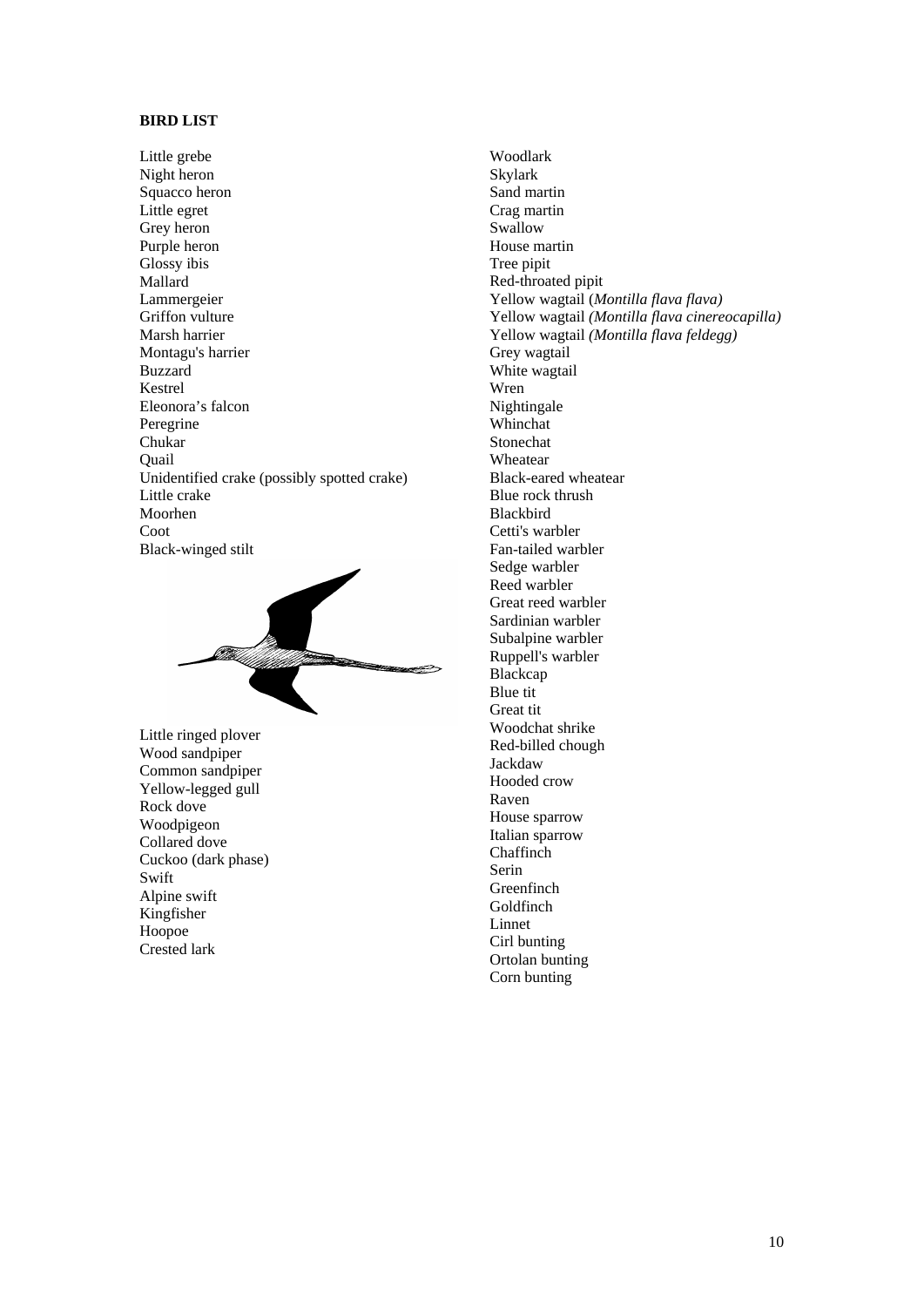## **BIRD LIST**

Little grebe Night heron Squacco heron Little egret Grey heron Purple heron Glossy ibis Mallard Lammergeier Griffon vulture Marsh harrier Montagu's harrier Buzzard Kestrel Eleonora's falcon Peregrine Chukar Quail Unidentified crake (possibly spotted crake) Little crake Moorhen Coot Black-winged stilt

Little ringed plover Wood sandpiper Common sandpiper Yellow-legged gull Rock dove Woodpigeon Collared dove Cuckoo (dark phase) Swift Alpine swift Kingfisher Hoopoe Crested lark

Woodlark Skylark Sand martin Crag martin Swallow House martin Tree pipit Red-throated pipit Yellow wagtail (*Montilla flava flava)*  Yellow wagtail *(Montilla flava cinereocapilla)*  Yellow wagtail *(Montilla flava feldegg)*  Grey wagtail White wagtail Wren Nightingale Whinchat Stonechat Wheatear Black-eared wheatear Blue rock thrush Blackbird Cetti's warbler Fan-tailed warbler Sedge warbler Reed warbler Great reed warbler Sardinian warbler Subalpine warbler Ruppell's warbler Blackcap Blue tit Great tit Woodchat shrike Red-billed chough Jackdaw Hooded crow Raven House sparrow Italian sparrow Chaffinch Serin Greenfinch Goldfinch Linnet Cirl bunting Ortolan bunting

Corn bunting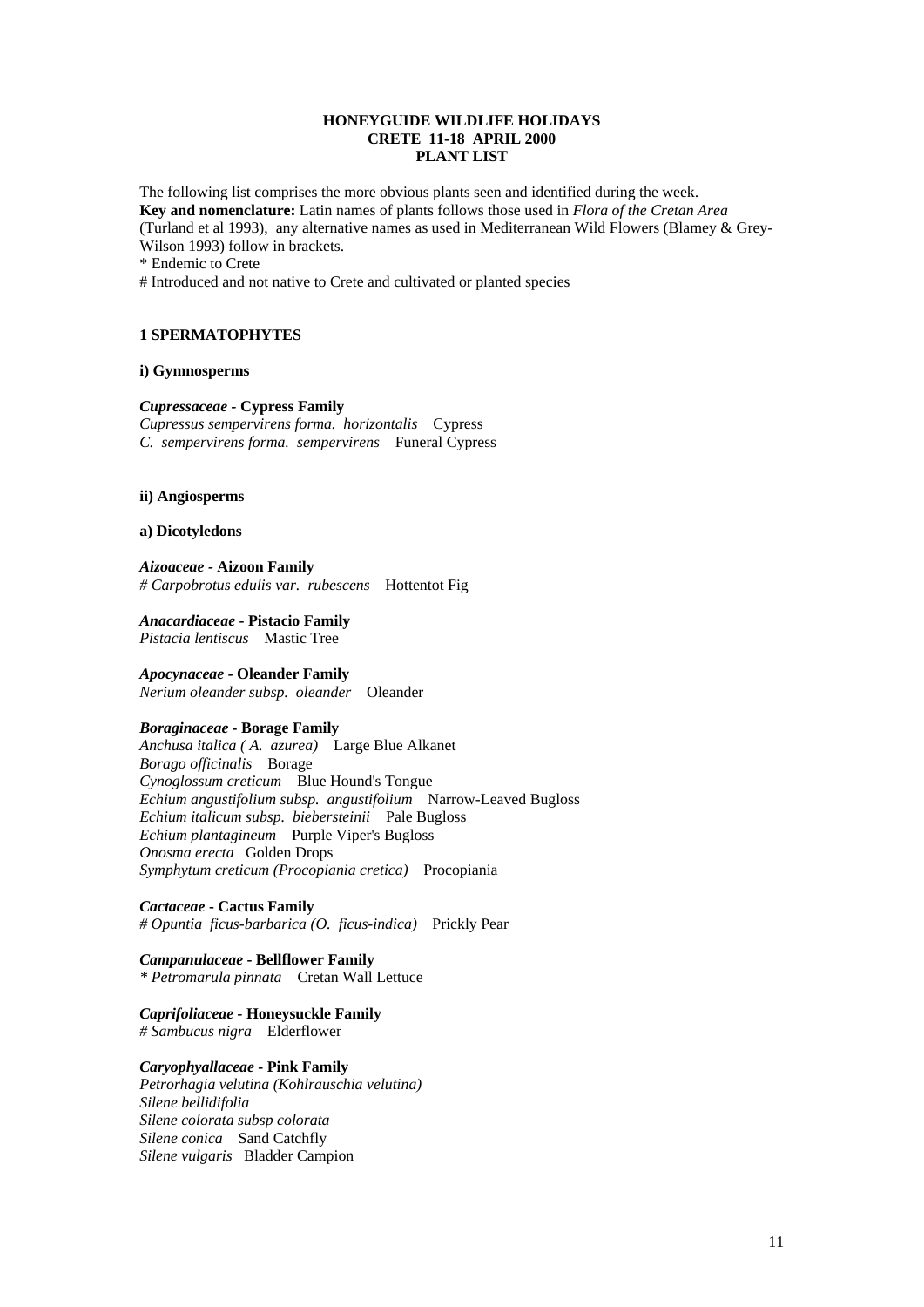## **HONEYGUIDE WILDLIFE HOLIDAYS CRETE 11-18 APRIL 2000 PLANT LIST**

The following list comprises the more obvious plants seen and identified during the week. **Key and nomenclature:** Latin names of plants follows those used in *Flora of the Cretan Area*  (Turland et al 1993), any alternative names as used in Mediterranean Wild Flowers (Blamey & Grey-Wilson 1993) follow in brackets.

\* Endemic to Crete

# Introduced and not native to Crete and cultivated or planted species

## **1 SPERMATOPHYTES**

#### **i) Gymnosperms**

#### *Cupressaceae -* **Cypress Family**

*Cupressus sempervirens forma. horizontalis* Cypress *C. sempervirens forma. sempervirens* Funeral Cypress

#### **ii) Angiosperms**

#### **a) Dicotyledons**

*Aizoaceae -* **Aizoon Family**  *# Carpobrotus edulis var. rubescens* Hottentot Fig

*Anacardiaceae* **- Pistacio Family** *Pistacia lentiscus* Mastic Tree

#### *Apocynaceae -* **Oleander Family**

*Nerium oleander subsp. oleander* Oleander

#### *Boraginaceae* **- Borage Family**

*Anchusa italica ( A. azurea)* Large Blue Alkanet *Borago officinalis* Borage *Cynoglossum creticum* Blue Hound's Tongue *Echium angustifolium subsp. angustifolium* Narrow-Leaved Bugloss *Echium italicum subsp. biebersteinii* Pale Bugloss *Echium plantagineum* Purple Viper's Bugloss *Onosma erecta* Golden Drops *Symphytum creticum (Procopiania cretica)* Procopiania

*Cactaceae* **- Cactus Family**  *# Opuntia ficus-barbarica (O. ficus-indica)* Prickly Pear

*Campanulaceae* **- Bellflower Family** *\* Petromarula pinnata* Cretan Wall Lettuce

*Caprifoliaceae -* **Honeysuckle Family**  *# Sambucus nigra* Elderflower

## *Caryophyallaceae* **- Pink Family**

*Petrorhagia velutina (Kohlrauschia velutina) Silene bellidifolia Silene colorata subsp colorata Silene conica* Sand Catchfly *Silene vulgaris* Bladder Campion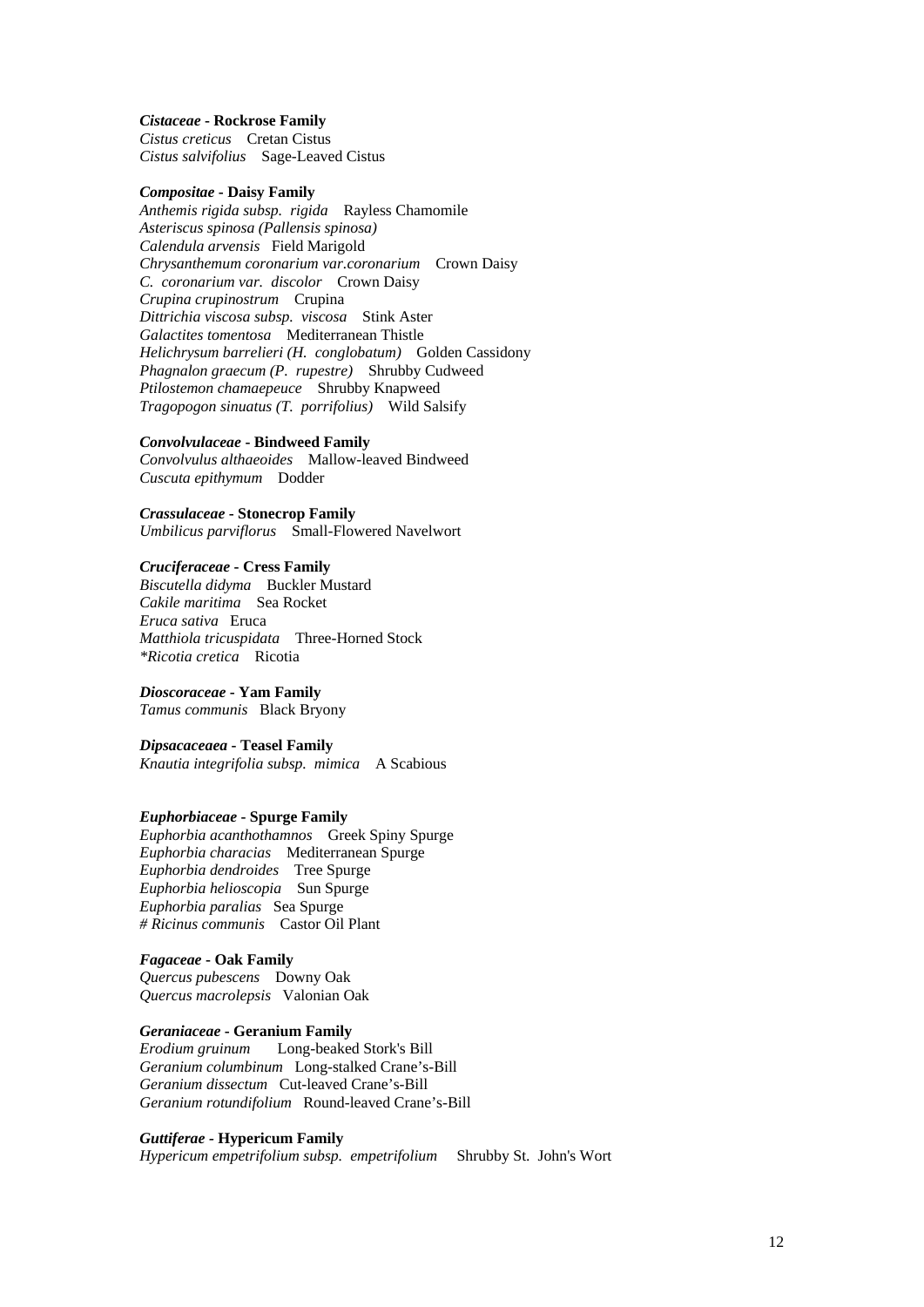#### *Cistaceae* **- Rockrose Family**

*Cistus creticus* Cretan Cistus *Cistus salvifolius* Sage-Leaved Cistus

## *Compositae* **- Daisy Family**

*Anthemis rigida subsp. rigida* Rayless Chamomile *Asteriscus spinosa (Pallensis spinosa) Calendula arvensis* Field Marigold *Chrysanthemum coronarium var.coronarium* Crown Daisy *C. coronarium var. discolor* Crown Daisy *Crupina crupinostrum* Crupina *Dittrichia viscosa subsp. viscosa* Stink Aster *Galactites tomentosa* Mediterranean Thistle *Helichrysum barrelieri (H. conglobatum)* Golden Cassidony *Phagnalon graecum (P. rupestre)* Shrubby Cudweed *Ptilostemon chamaepeuce* Shrubby Knapweed *Tragopogon sinuatus (T. porrifolius)* Wild Salsify

## *Convolvulaceae* **- Bindweed Family**

*Convolvulus althaeoides* Mallow-leaved Bindweed *Cuscuta epithymum* Dodder

#### *Crassulaceae* **- Stonecrop Family**

*Umbilicus parviflorus* Small-Flowered Navelwort

## *Cruciferaceae* **- Cress Family**

*Biscutella didyma* Buckler Mustard *Cakile maritima* Sea Rocket *Eruca sativa* Eruca *Matthiola tricuspidata* Three-Horned Stock *\*Ricotia cretica* Ricotia

#### *Dioscoraceae* **- Yam Family**

*Tamus communis* Black Bryony

## *Dipsacaceaea* **- Teasel Family**

*Knautia integrifolia subsp. mimica* A Scabious

#### *Euphorbiaceae* **- Spurge Family**

*Euphorbia acanthothamnos* Greek Spiny Spurge *Euphorbia characias* Mediterranean Spurge *Euphorbia dendroides* Tree Spurge *Euphorbia helioscopia* Sun Spurge *Euphorbia paralias* Sea Spurge *# Ricinus communis* Castor Oil Plant

# *Fagaceae* **- Oak Family**

*Quercus pubescens* Downy Oak *Quercus macrolepsis* Valonian Oak

#### *Geraniaceae* **- Geranium Family**

*Erodium gruinum* Long-beaked Stork's Bill *Geranium columbinum* Long-stalked Crane's-Bill *Geranium dissectum* Cut-leaved Crane's-Bill *Geranium rotundifolium* Round-leaved Crane's-Bill

## *Guttiferae -* **Hypericum Family**

*Hypericum empetrifolium subsp. empetrifolium* Shrubby St. John's Wort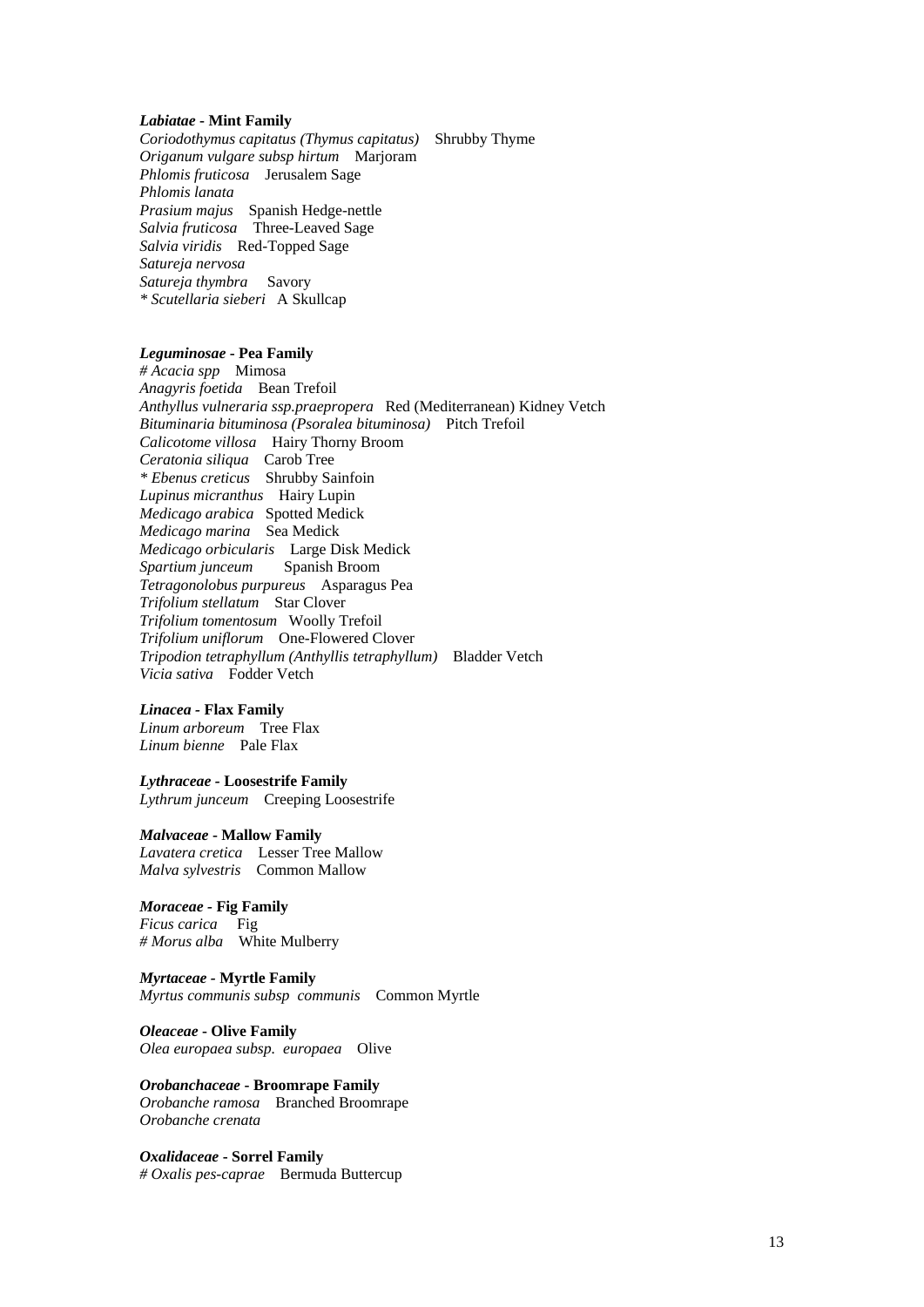#### *Labiatae* **- Mint Family**

*Coriodothymus capitatus (Thymus capitatus)* Shrubby Thyme *Origanum vulgare subsp hirtum* Marjoram *Phlomis fruticosa* Jerusalem Sage *Phlomis lanata Prasium majus* Spanish Hedge-nettle *Salvia fruticosa* Three-Leaved Sage *Salvia viridis* Red-Topped Sage *Satureja nervosa Satureja thymbra* Savory *\* Scutellaria sieberi* A Skullcap

## *Leguminosae* **- Pea Family**

*# Acacia spp* Mimosa *Anagyris foetida* Bean Trefoil *Anthyllus vulneraria ssp.praepropera* Red (Mediterranean) Kidney Vetch *Bituminaria bituminosa (Psoralea bituminosa)* Pitch Trefoil *Calicotome villosa* Hairy Thorny Broom *Ceratonia siliqua* Carob Tree *\* Ebenus creticus* Shrubby Sainfoin *Lupinus micranthus* Hairy Lupin *Medicago arabica* Spotted Medick *Medicago marina* Sea Medick *Medicago orbicularis* Large Disk Medick *Spartium junceum* Spanish Broom *Tetragonolobus purpureus* Asparagus Pea *Trifolium stellatum* Star Clover *Trifolium tomentosum* Woolly Trefoil *Trifolium uniflorum* One-Flowered Clover *Tripodion tetraphyllum (Anthyllis tetraphyllum)* Bladder Vetch *Vicia sativa* Fodder Vetch

#### *Linacea -* **Flax Family**

*Linum arboreum* Tree Flax *Linum bienne* Pale Flax

## *Lythraceae -* **Loosestrife Family**

*Lythrum junceum* Creeping Loosestrife

#### *Malvaceae* **- Mallow Family**

*Lavatera cretica* Lesser Tree Mallow *Malva sylvestris* Common Mallow

## *Moraceae -* **Fig Family**

*Ficus carica* Fig *# Morus alba* White Mulberry

#### *Myrtaceae -* **Myrtle Family**

*Myrtus communis subsp communis* Common Myrtle

#### *Oleaceae* **- Olive Family** *Olea europaea subsp. europaea* Olive

*Orobanchaceae* **- Broomrape Family**  *Orobanche ramosa* Branched Broomrape *Orobanche crenata* 

*Oxalidaceae* **- Sorrel Family**  *# Oxalis pes-caprae* Bermuda Buttercup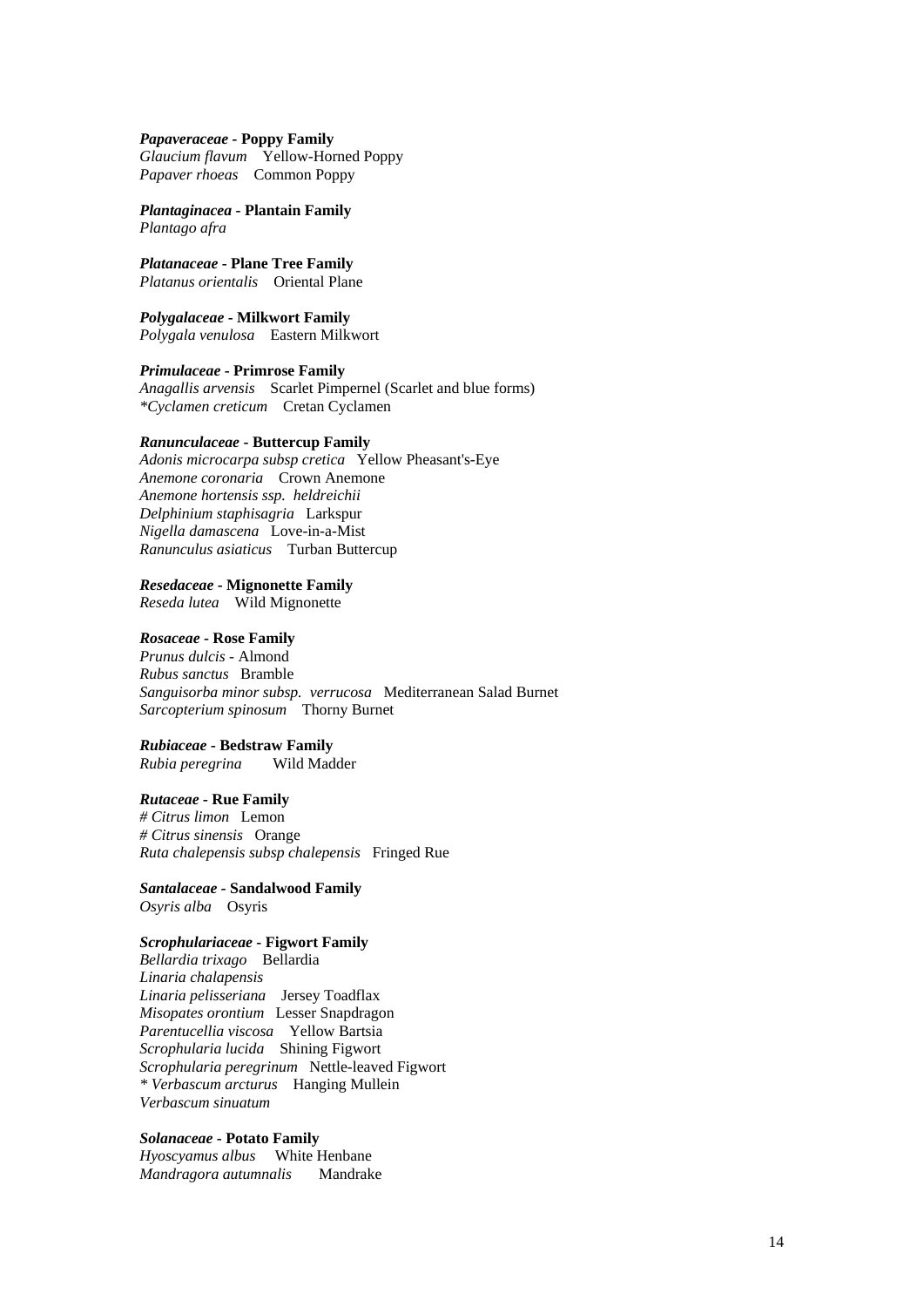#### *Papaveraceae -* **Poppy Family**

*Glaucium flavum* Yellow-Horned Poppy *Papaver rhoeas* Common Poppy

*Plantaginacea* **- Plantain Family**  *Plantago afra* 

*Platanaceae* **- Plane Tree Family** *Platanus orientalis* Oriental Plane

*Polygalaceae* **- Milkwort Family** *Polygala venulosa* Eastern Milkwort

*Primulaceae* **- Primrose Family** 

*Anagallis arvensis* Scarlet Pimpernel (Scarlet and blue forms) *\*Cyclamen creticum* Cretan Cyclamen

#### *Ranunculaceae* **- Buttercup Family**

*Adonis microcarpa subsp cretica* Yellow Pheasant's-Eye *Anemone coronaria* Crown Anemone *Anemone hortensis ssp. heldreichii Delphinium staphisagria* Larkspur *Nigella damascena* Love-in-a-Mist *Ranunculus asiaticus* Turban Buttercup

## *Resedaceae* **- Mignonette Family**

*Reseda lutea* Wild Mignonette

## *Rosaceae* **- Rose Family**

*Prunus dulcis -* Almond *Rubus sanctus* Bramble *Sanguisorba minor subsp. verrucosa* Mediterranean Salad Burnet *Sarcopterium spinosum* Thorny Burnet

## *Rubiaceae -* **Bedstraw Family**

*Rubia peregrina* Wild Madder

## *Rutaceae -* **Rue Family**

*# Citrus limon* Lemon *# Citrus sinensis* Orange *Ruta chalepensis subsp chalepensis* Fringed Rue

*Santalaceae -* **Sandalwood Family**  *Osyris alba* Osyris

## *Scrophulariaceae* **- Figwort Family**

*Bellardia trixago* Bellardia *Linaria chalapensis Linaria pelisseriana* Jersey Toadflax *Misopates orontium* Lesser Snapdragon *Parentucellia viscosa* Yellow Bartsia *Scrophularia lucida* Shining Figwort *Scrophularia peregrinum* Nettle-leaved Figwort *\* Verbascum arcturus* Hanging Mullein *Verbascum sinuatum* 

# *Solanaceae* **- Potato Family**

*Hyoscyamus albus* White Henbane *Mandragora autumnalis* Mandrake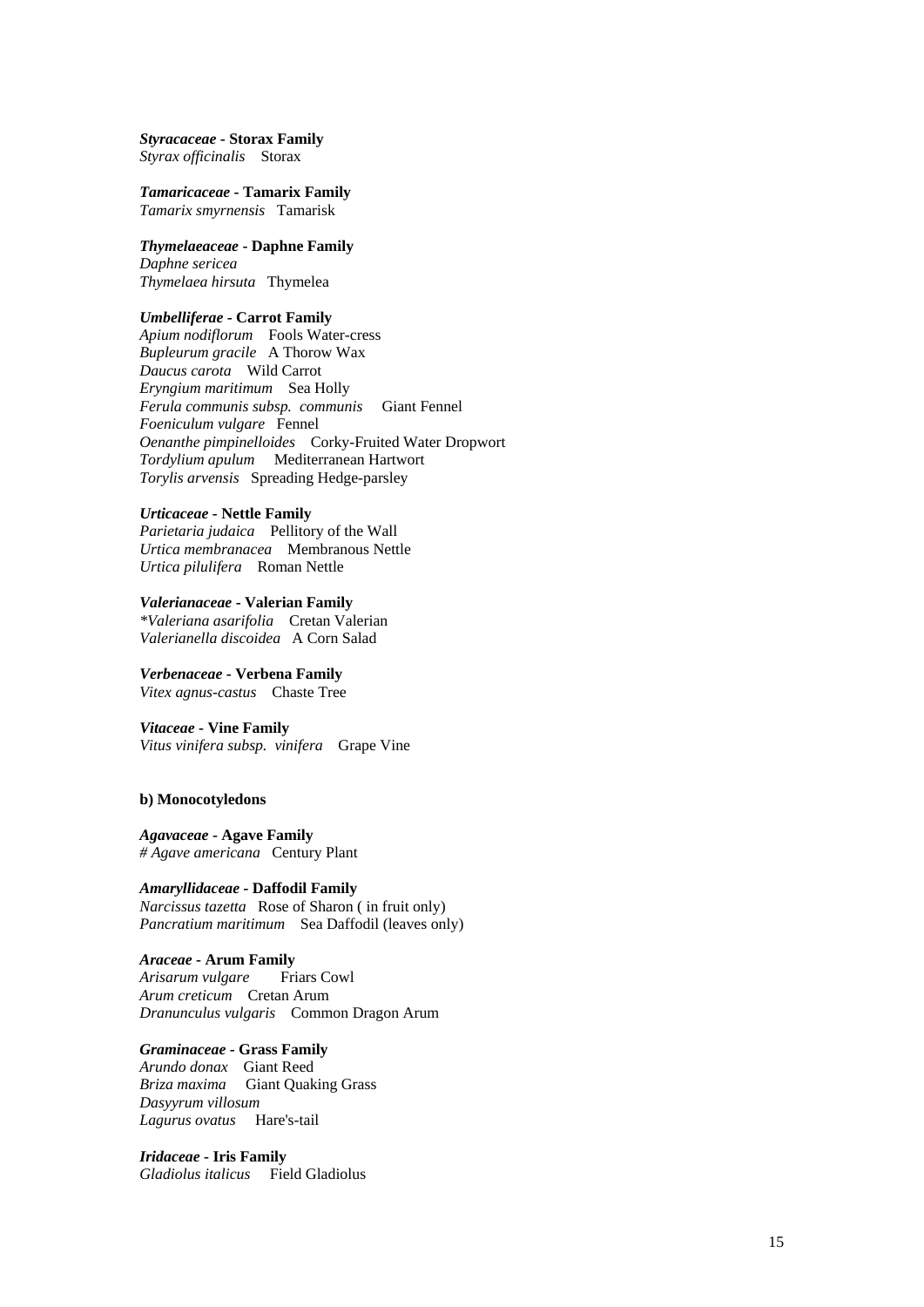*Styracaceae* **- Storax Family**  *Styrax officinalis* Storax

*Tamaricaceae* **- Tamarix Family** *Tamarix smyrnensis* Tamarisk

#### *Thymelaeaceae* **- Daphne Family**  *Daphne sericea*

*Thymelaea hirsuta* Thymelea

## *Umbelliferae* **- Carrot Family**

*Apium nodiflorum* Fools Water-cress *Bupleurum gracile* A Thorow Wax *Daucus carota* Wild Carrot *Eryngium maritimum* Sea Holly *Ferula communis subsp. communis* Giant Fennel *Foeniculum vulgare* Fennel *Oenanthe pimpinelloides* Corky-Fruited Water Dropwort *Tordylium apulum* Mediterranean Hartwort *Torylis arvensis* Spreading Hedge-parsley

#### *Urticaceae -* **Nettle Family**

*Parietaria judaica* Pellitory of the Wall *Urtica membranacea* Membranous Nettle *Urtica pilulifera* Roman Nettle

# *Valerianaceae* **- Valerian Family**  *\*Valeriana asarifolia* Cretan Valerian

*Valerianella discoidea* A Corn Salad

#### *Verbenaceae* **- Verbena Family**  *Vitex agnus-castus* Chaste Tree

## *Vitaceae* **- Vine Family**

*Vitus vinifera subsp. vinifera* Grape Vine

## **b) Monocotyledons**

#### *Agavaceae* **- Agave Family** *# Agave americana* Century Plant

#### *Amaryllidaceae -* **Daffodil Family**

*Narcissus tazetta* Rose of Sharon ( in fruit only) *Pancratium maritimum* Sea Daffodil (leaves only)

## *Araceae* **- Arum Family**

*Arisarum vulgare* Friars Cowl *Arum creticum* Cretan Arum *Dranunculus vulgaris* Common Dragon Arum

## *Graminaceae* **- Grass Family**

*Arundo donax* Giant Reed *Briza maxima* Giant Quaking Grass *Dasyyrum villosum Lagurus ovatus* Hare's-tail

## *Iridaceae* **- Iris Family** *Gladiolus italicus* Field Gladiolus